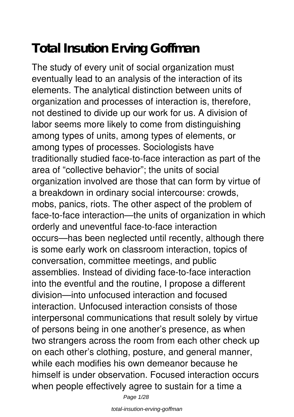# **Total Insution Erving Goffman**

The study of every unit of social organization must eventually lead to an analysis of the interaction of its elements. The analytical distinction between units of organization and processes of interaction is, therefore, not destined to divide up our work for us. A division of labor seems more likely to come from distinguishing among types of units, among types of elements, or among types of processes. Sociologists have traditionally studied face-to-face interaction as part of the area of "collective behavior"; the units of social organization involved are those that can form by virtue of a breakdown in ordinary social intercourse: crowds, mobs, panics, riots. The other aspect of the problem of face-to-face interaction—the units of organization in which orderly and uneventful face-to-face interaction occurs—has been neglected until recently, although there is some early work on classroom interaction, topics of conversation, committee meetings, and public assemblies. Instead of dividing face-to-face interaction into the eventful and the routine, I propose a different division—into unfocused interaction and focused interaction. Unfocused interaction consists of those interpersonal communications that result solely by virtue of persons being in one another's presence, as when two strangers across the room from each other check up on each other's clothing, posture, and general manner, while each modifies his own demeanor because he himself is under observation. Focused interaction occurs when people effectively agree to sustain for a time a

Page 1/28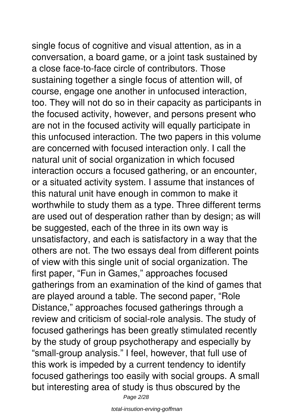single focus of cognitive and visual attention, as in a conversation, a board game, or a joint task sustained by a close face-to-face circle of contributors. Those sustaining together a single focus of attention will, of course, engage one another in unfocused interaction, too. They will not do so in their capacity as participants in the focused activity, however, and persons present who are not in the focused activity will equally participate in this unfocused interaction. The two papers in this volume are concerned with focused interaction only. I call the natural unit of social organization in which focused interaction occurs a focused gathering, or an encounter, or a situated activity system. I assume that instances of this natural unit have enough in common to make it worthwhile to study them as a type. Three different terms are used out of desperation rather than by design; as will be suggested, each of the three in its own way is unsatisfactory, and each is satisfactory in a way that the others are not. The two essays deal from different points of view with this single unit of social organization. The first paper, "Fun in Games," approaches focused gatherings from an examination of the kind of games that are played around a table. The second paper, "Role Distance," approaches focused gatherings through a review and criticism of social-role analysis. The study of focused gatherings has been greatly stimulated recently by the study of group psychotherapy and especially by "small-group analysis." I feel, however, that full use of this work is impeded by a current tendency to identify focused gatherings too easily with social groups. A small

but interesting area of study is thus obscured by the

Page 2/28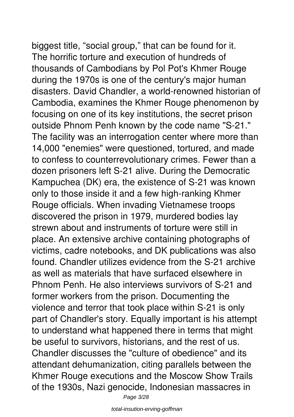biggest title, "social group," that can be found for it. The horrific torture and execution of hundreds of thousands of Cambodians by Pol Pot's Khmer Rouge during the 1970s is one of the century's major human disasters. David Chandler, a world-renowned historian of Cambodia, examines the Khmer Rouge phenomenon by focusing on one of its key institutions, the secret prison outside Phnom Penh known by the code name "S-21." The facility was an interrogation center where more than 14,000 "enemies" were questioned, tortured, and made to confess to counterrevolutionary crimes. Fewer than a dozen prisoners left S-21 alive. During the Democratic Kampuchea (DK) era, the existence of S-21 was known only to those inside it and a few high-ranking Khmer Rouge officials. When invading Vietnamese troops discovered the prison in 1979, murdered bodies lay strewn about and instruments of torture were still in place. An extensive archive containing photographs of victims, cadre notebooks, and DK publications was also found. Chandler utilizes evidence from the S-21 archive as well as materials that have surfaced elsewhere in Phnom Penh. He also interviews survivors of S-21 and former workers from the prison. Documenting the violence and terror that took place within S-21 is only part of Chandler's story. Equally important is his attempt to understand what happened there in terms that might be useful to survivors, historians, and the rest of us. Chandler discusses the "culture of obedience" and its attendant dehumanization, citing parallels between the Khmer Rouge executions and the Moscow Show Trails of the 1930s, Nazi genocide, Indonesian massacres in

Page 3/28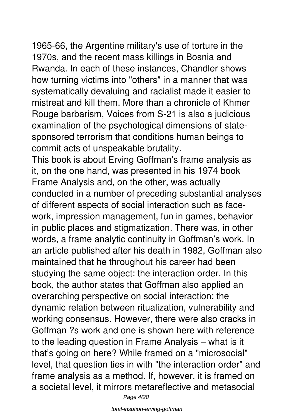1965-66, the Argentine military's use of torture in the 1970s, and the recent mass killings in Bosnia and Rwanda. In each of these instances, Chandler shows how turning victims into "others" in a manner that was systematically devaluing and racialist made it easier to mistreat and kill them. More than a chronicle of Khmer Rouge barbarism, Voices from S-21 is also a judicious examination of the psychological dimensions of statesponsored terrorism that conditions human beings to commit acts of unspeakable brutality.

This book is about Erving Goffman's frame analysis as it, on the one hand, was presented in his 1974 book Frame Analysis and, on the other, was actually conducted in a number of preceding substantial analyses of different aspects of social interaction such as facework, impression management, fun in games, behavior in public places and stigmatization. There was, in other words, a frame analytic continuity in Goffman's work. In an article published after his death in 1982, Goffman also maintained that he throughout his career had been studying the same object: the interaction order. In this book, the author states that Goffman also applied an overarching perspective on social interaction: the dynamic relation between ritualization, vulnerability and working consensus. However, there were also cracks in Goffman ?s work and one is shown here with reference to the leading question in Frame Analysis – what is it that's going on here? While framed on a "microsocial" level, that question ties in with "the interaction order" and frame analysis as a method. If, however, it is framed on a societal level, it mirrors metareflective and metasocial

Page 4/28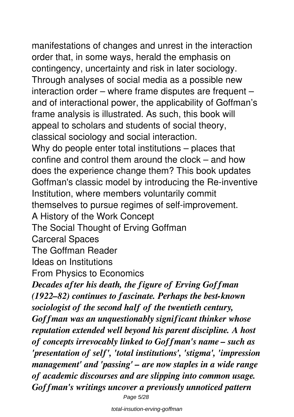manifestations of changes and unrest in the interaction order that, in some ways, herald the emphasis on

contingency, uncertainty and risk in later sociology. Through analyses of social media as a possible new interaction order – where frame disputes are frequent – and of interactional power, the applicability of Goffman's frame analysis is illustrated. As such, this book will appeal to scholars and students of social theory, classical sociology and social interaction.

Why do people enter total institutions – places that confine and control them around the clock – and how does the experience change them? This book updates Goffman's classic model by introducing the Re-inventive Institution, where members voluntarily commit themselves to pursue regimes of self-improvement.

A History of the Work Concept

The Social Thought of Erving Goffman

Carceral Spaces

The Goffman Reader

Ideas on Institutions

From Physics to Economics

*Decades after his death, the figure of Erving Goffman (1922–82) continues to fascinate. Perhaps the best-known sociologist of the second half of the twentieth century, Goffman was an unquestionably significant thinker whose reputation extended well beyond his parent discipline. A host of concepts irrevocably linked to Goffman's name – such as 'presentation of self', 'total institutions', 'stigma', 'impression management' and 'passing' – are now staples in a wide range of academic discourses and are slipping into common usage. Goffman's writings uncover a previously unnoticed pattern*

Page 5/28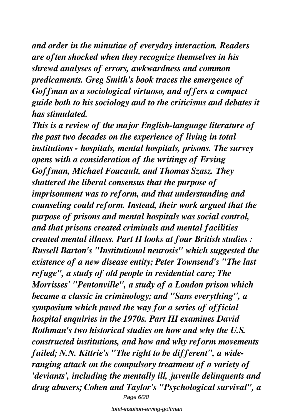*and order in the minutiae of everyday interaction. Readers are often shocked when they recognize themselves in his shrewd analyses of errors, awkwardness and common predicaments. Greg Smith's book traces the emergence of Goffman as a sociological virtuoso, and offers a compact guide both to his sociology and to the criticisms and debates it has stimulated.*

*This is a review of the major English-language literature of the past two decades on the experience of living in total institutions - hospitals, mental hospitals, prisons. The survey opens with a consideration of the writings of Erving Goffman, Michael Foucault, and Thomas Szasz. They shattered the liberal consensus that the purpose of imprisonment was to reform, and that understanding and counseling could reform. Instead, their work argued that the purpose of prisons and mental hospitals was social control, and that prisons created criminals and mental facilities created mental illness. Part II looks at four British studies : Russell Barton's "Institutional neurosis" which suggested the existence of a new disease entity; Peter Townsend's "The last refuge", a study of old people in residential care; The Morrisses' "Pentonville", a study of a London prison which became a classic in criminology; and "Sans everything", a symposium which paved the way for a series of official hospital enquiries in the 1970s. Part III examines David Rothman's two historical studies on how and why the U.S. constructed institutions, and how and why reform movements failed; N.N. Kittrie's "The right to be different", a wideranging attack on the compulsory treatment of a variety of 'deviants', including the mentally ill, juvenile delinquents and drug abusers; Cohen and Taylor's "Psychological survival", a* Page 6/28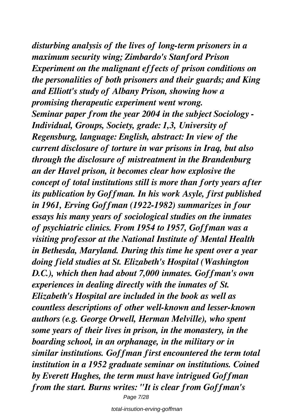*disturbing analysis of the lives of long-term prisoners in a maximum security wing; Zimbardo's Stanford Prison Experiment on the malignant effects of prison conditions on the personalities of both prisoners and their guards; and King and Elliott's study of Albany Prison, showing how a promising therapeutic experiment went wrong. Seminar paper from the year 2004 in the subject Sociology - Individual, Groups, Society, grade: 1,3, University of Regensburg, language: English, abstract: In view of the current disclosure of torture in war prisons in Iraq, but also through the disclosure of mistreatment in the Brandenburg an der Havel prison, it becomes clear how explosive the concept of total institutions still is more than forty years after its publication by Goffman. In his work Asyle, first published in 1961, Erving Goffman (1922-1982) summarizes in four essays his many years of sociological studies on the inmates of psychiatric clinics. From 1954 to 1957, Goffman was a visiting professor at the National Institute of Mental Health in Bethesda, Maryland. During this time he spent over a year doing field studies at St. Elizabeth's Hospital (Washington D.C.), which then had about 7,000 inmates. Goffman's own experiences in dealing directly with the inmates of St. Elizabeth's Hospital are included in the book as well as countless descriptions of other well-known and lesser-known authors (e.g. George Orwell, Herman Melville), who spent some years of their lives in prison, in the monastery, in the boarding school, in an orphanage, in the military or in similar institutions. Goffman first encountered the term total institution in a 1952 graduate seminar on institutions. Coined by Everett Hughes, the term must have intrigued Goffman from the start. Burns writes: "It is clear from Goffman's*

Page 7/28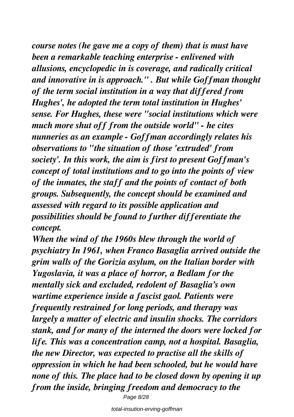*course notes (he gave me a copy of them) that is must have been a remarkable teaching enterprise - enlivened with allusions, encyclopedic in is coverage, and radically critical and innovative in is approach." . But while Goffman thought of the term social institution in a way that differed from Hughes', he adopted the term total institution in Hughes' sense. For Hughes, these were "social institutions which were much more shut off from the outside world" - he cites nunneries as an example - Goffman accordingly relates his observations to "the situation of those 'extruded' from society'. In this work, the aim is first to present Goffman's concept of total institutions and to go into the points of view of the inmates, the staff and the points of contact of both groups. Subsequently, the concept should be examined and assessed with regard to its possible application and possibilities should be found to further differentiate the concept.*

*When the wind of the 1960s blew through the world of psychiatry In 1961, when Franco Basaglia arrived outside the grim walls of the Gorizia asylum, on the Italian border with Yugoslavia, it was a place of horror, a Bedlam for the mentally sick and excluded, redolent of Basaglia's own wartime experience inside a fascist gaol. Patients were frequently restrained for long periods, and therapy was largely a matter of electric and insulin shocks. The corridors stank, and for many of the interned the doors were locked for life. This was a concentration camp, not a hospital. Basaglia, the new Director, was expected to practise all the skills of oppression in which he had been schooled, but he would have none of this. The place had to be closed down by opening it up from the inside, bringing freedom and democracy to the*

Page 8/28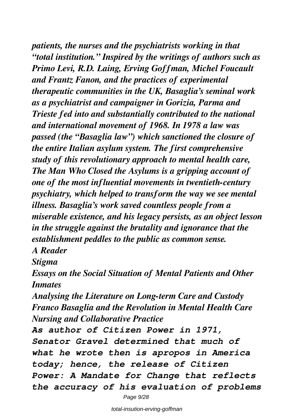*patients, the nurses and the psychiatrists working in that "total institution." Inspired by the writings of authors such as Primo Levi, R.D. Laing, Erving Goffman, Michel Foucault and Frantz Fanon, and the practices of experimental therapeutic communities in the UK, Basaglia's seminal work as a psychiatrist and campaigner in Gorizia, Parma and Trieste fed into and substantially contributed to the national and international movement of 1968. In 1978 a law was passed (the "Basaglia law") which sanctioned the closure of the entire Italian asylum system. The first comprehensive study of this revolutionary approach to mental health care, The Man Who Closed the Asylums is a gripping account of one of the most influential movements in twentieth-century psychiatry, which helped to transform the way we see mental illness. Basaglia's work saved countless people from a miserable existence, and his legacy persists, as an object lesson in the struggle against the brutality and ignorance that the establishment peddles to the public as common sense.*

# *A Reader*

*Stigma*

*Essays on the Social Situation of Mental Patients and Other Inmates*

*Analysing the Literature on Long-term Care and Custody Franco Basaglia and the Revolution in Mental Health Care Nursing and Collaborative Practice*

*As author of Citizen Power in 1971, Senator Gravel determined that much of what he wrote then is apropos in America today; hence, the release of Citizen Power: A Mandate for Change that reflects the accuracy of his evaluation of problems*

Page 9/28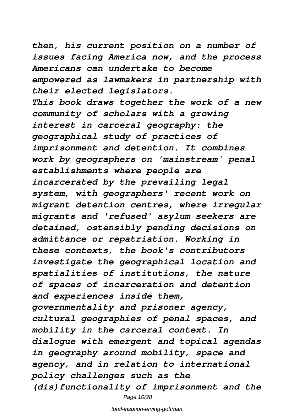*then, his current position on a number of issues facing America now, and the process Americans can undertake to become empowered as lawmakers in partnership with their elected legislators. This book draws together the work of a new community of scholars with a growing interest in carceral geography: the geographical study of practices of imprisonment and detention. It combines work by geographers on 'mainstream' penal establishments where people are incarcerated by the prevailing legal system, with geographers' recent work on migrant detention centres, where irregular migrants and 'refused' asylum seekers are detained, ostensibly pending decisions on admittance or repatriation. Working in these contexts, the book's contributors investigate the geographical location and spatialities of institutions, the nature of spaces of incarceration and detention and experiences inside them, governmentality and prisoner agency, cultural geographies of penal spaces, and mobility in the carceral context. In dialogue with emergent and topical agendas in geography around mobility, space and agency, and in relation to international policy challenges such as the (dis)functionality of imprisonment and the* Page 10/28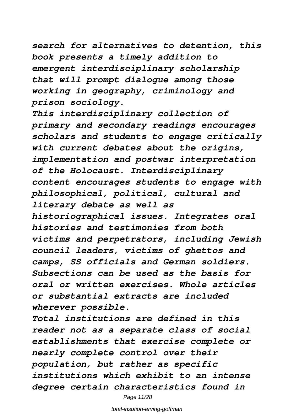*search for alternatives to detention, this book presents a timely addition to emergent interdisciplinary scholarship that will prompt dialogue among those working in geography, criminology and prison sociology.*

*This interdisciplinary collection of primary and secondary readings encourages scholars and students to engage critically with current debates about the origins, implementation and postwar interpretation of the Holocaust. Interdisciplinary content encourages students to engage with philosophical, political, cultural and literary debate as well as historiographical issues. Integrates oral histories and testimonies from both victims and perpetrators, including Jewish council leaders, victims of ghettos and camps, SS officials and German soldiers. Subsections can be used as the basis for oral or written exercises. Whole articles or substantial extracts are included wherever possible.*

*Total institutions are defined in this reader not as a separate class of social establishments that exercise complete or nearly complete control over their population, but rather as specific institutions which exhibit to an intense degree certain characteristics found in*

Page 11/28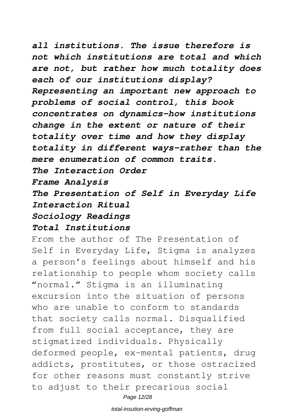*all institutions. The issue therefore is not which institutions are total and which are not, but rather how much totality does each of our institutions display? Representing an important new approach to problems of social control, this book concentrates on dynamics-how institutions change in the extent or nature of their totality over time and how they display totality in different ways-rather than the mere enumeration of common traits.*

*The Interaction Order*

*Frame Analysis*

*The Presentation of Self in Everyday Life Interaction Ritual*

### *Sociology Readings*

## *Total Institutions*

From the author of The Presentation of Self in Everyday Life, Stigma is analyzes a person's feelings about himself and his relationship to people whom society calls "normal." Stigma is an illuminating excursion into the situation of persons who are unable to conform to standards that society calls normal. Disqualified from full social acceptance, they are stigmatized individuals. Physically deformed people, ex-mental patients, drug addicts, prostitutes, or those ostracized for other reasons must constantly strive to adjust to their precarious social

Page 12/28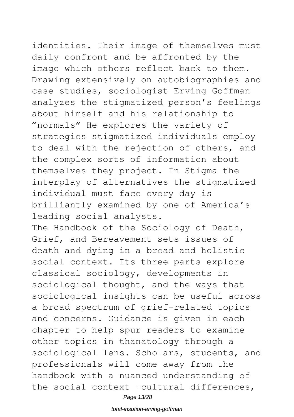# identities. Their image of themselves must

daily confront and be affronted by the image which others reflect back to them. Drawing extensively on autobiographies and case studies, sociologist Erving Goffman analyzes the stigmatized person's feelings about himself and his relationship to "normals" He explores the variety of strategies stigmatized individuals employ to deal with the rejection of others, and the complex sorts of information about themselves they project. In Stigma the interplay of alternatives the stigmatized individual must face every day is brilliantly examined by one of America's leading social analysts.

The Handbook of the Sociology of Death, Grief, and Bereavement sets issues of death and dying in a broad and holistic social context. Its three parts explore classical sociology, developments in sociological thought, and the ways that sociological insights can be useful across a broad spectrum of grief-related topics and concerns. Guidance is given in each chapter to help spur readers to examine other topics in thanatology through a sociological lens. Scholars, students, and professionals will come away from the handbook with a nuanced understanding of the social context –cultural differences,

Page 13/28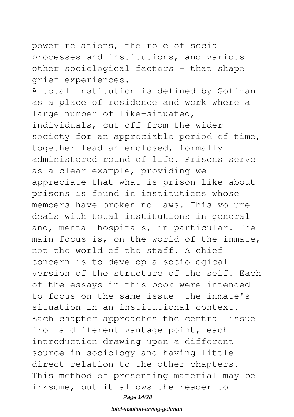power relations, the role of social processes and institutions, and various other sociological factors – that shape grief experiences.

A total institution is defined by Goffman as a place of residence and work where a large number of like-situated, individuals, cut off from the wider society for an appreciable period of time, together lead an enclosed, formally administered round of life. Prisons serve as a clear example, providing we appreciate that what is prison-like about prisons is found in institutions whose members have broken no laws. This volume deals with total institutions in general and, mental hospitals, in particular. The main focus is, on the world of the inmate, not the world of the staff. A chief concern is to develop a sociological version of the structure of the self. Each of the essays in this book were intended to focus on the same issue--the inmate's situation in an institutional context. Each chapter approaches the central issue from a different vantage point, each introduction drawing upon a different source in sociology and having little direct relation to the other chapters. This method of presenting material may be irksome, but it allows the reader to Page 14/28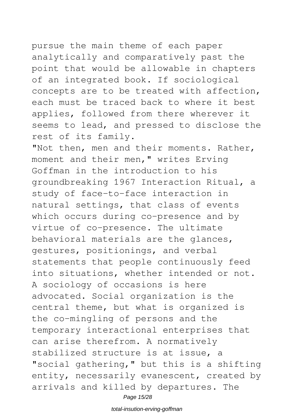pursue the main theme of each paper analytically and comparatively past the point that would be allowable in chapters of an integrated book. If sociological concepts are to be treated with affection, each must be traced back to where it best applies, followed from there wherever it seems to lead, and pressed to disclose the rest of its family.

"Not then, men and their moments. Rather, moment and their men," writes Erving Goffman in the introduction to his groundbreaking 1967 Interaction Ritual, a study of face-to-face interaction in natural settings, that class of events which occurs during co-presence and by virtue of co-presence. The ultimate behavioral materials are the glances, gestures, positionings, and verbal statements that people continuously feed into situations, whether intended or not. A sociology of occasions is here advocated. Social organization is the central theme, but what is organized is the co-mingling of persons and the temporary interactional enterprises that can arise therefrom. A normatively stabilized structure is at issue, a "social gathering," but this is a shifting entity, necessarily evanescent, created by arrivals and killed by departures. The

Page 15/28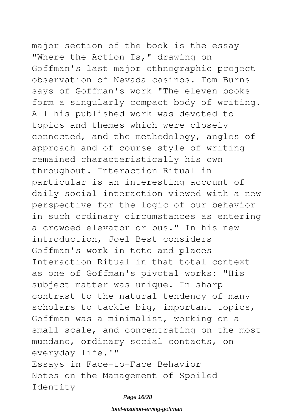major section of the book is the essay "Where the Action Is," drawing on Goffman's last major ethnographic project observation of Nevada casinos. Tom Burns says of Goffman's work "The eleven books

form a singularly compact body of writing. All his published work was devoted to topics and themes which were closely connected, and the methodology, angles of approach and of course style of writing remained characteristically his own throughout. Interaction Ritual in particular is an interesting account of daily social interaction viewed with a new perspective for the logic of our behavior in such ordinary circumstances as entering a crowded elevator or bus." In his new introduction, Joel Best considers Goffman's work in toto and places Interaction Ritual in that total context as one of Goffman's pivotal works: "His subject matter was unique. In sharp contrast to the natural tendency of many scholars to tackle big, important topics, Goffman was a minimalist, working on a small scale, and concentrating on the most mundane, ordinary social contacts, on everyday life.'" Essays in Face-to-Face Behavior Notes on the Management of Spoiled Identity

### Page 16/28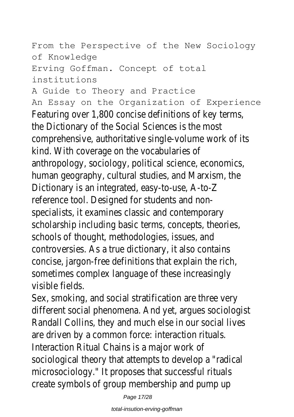From the Perspective of the New Sociology of Knowledge Erving Goffman. Concept of total

institutions

A Guide to Theory and Practice

An Essay on the Organization of Experience Featuring over 1,800 concise definitions of key terms, the Dictionary of the Social Sciences is the most comprehensive, authoritative single-volume work of its kind. With coverage on the vocabularies of anthropology, sociology, political science, economics, human geography, cultural studies, and Marxism, the Dictionary is an integrated, easy-to-use, A-to-Z reference tool. Designed for students and nonspecialists, it examines classic and contemporary scholarship including basic terms, concepts, theories, schools of thought, methodologies, issues, and controversies. As a true dictionary, it also contains concise, jargon-free definitions that explain the rich, sometimes complex language of these increasingly visible fields.

Sex, smoking, and social stratification are three very different social phenomena. And yet, argues sociologist Randall Collins, they and much else in our social lives are driven by a common force: interaction rituals. Interaction Ritual Chains is a major work of sociological theory that attempts to develop a "radical microsociology." It proposes that successful rituals create symbols of group membership and pump up

Page 17/28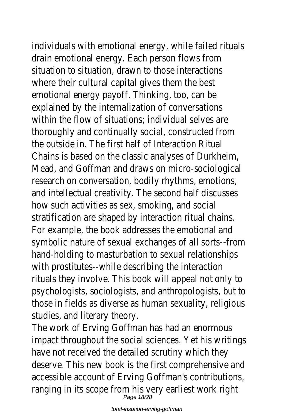individuals with emotional energy, while failed rituals drain emotional energy. Each person flows from situation to situation, drawn to those interactions

where their cultural capital gives them the best emotional energy payoff. Thinking, too, can be explained by the internalization of conversations within the flow of situations; individual selves are thoroughly and continually social, constructed from the outside in. The first half of Interaction Ritual Chains is based on the classic analyses of Durkheim, Mead, and Goffman and draws on micro-sociological research on conversation, bodily rhythms, emotions, and intellectual creativity. The second half discusses how such activities as sex, smoking, and social stratification are shaped by interaction ritual chains. For example, the book addresses the emotional and symbolic nature of sexual exchanges of all sorts--from hand-holding to masturbation to sexual relationships with prostitutes--while describing the interaction rituals they involve. This book will appeal not only to psychologists, sociologists, and anthropologists, but to those in fields as diverse as human sexuality, religious studies, and literary theory.

The work of Erving Goffman has had an enormous impact throughout the social sciences. Yet his writings have not received the detailed scrutiny which they deserve. This new book is the first comprehensive and accessible account of Erving Goffman's contributions, ranging in its scope from his very earliest work right Page 18/28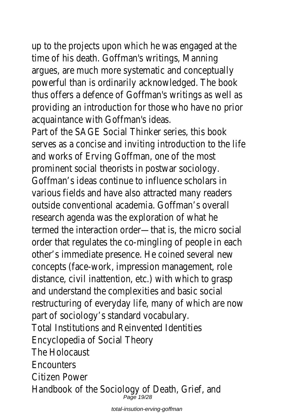up to the projects upon which he was engaged at the time of his death. Goffman's writings, Manning argues, are much more systematic and conceptually powerful than is ordinarily acknowledged. The book thus offers a defence of Goffman's writings as well as providing an introduction for those who have no prior acquaintance with Goffman's ideas.

Part of the SAGE Social Thinker series, this book serves as a concise and inviting introduction to the life and works of Erving Goffman, one of the most prominent social theorists in postwar sociology. Goffman's ideas continue to influence scholars in various fields and have also attracted many readers outside conventional academia. Goffman's overall research agenda was the exploration of what he termed the interaction order—that is, the micro social order that regulates the co-mingling of people in each other's immediate presence. He coined several new concepts (face-work, impression management, role distance, civil inattention, etc.) with which to grasp and understand the complexities and basic social restructuring of everyday life, many of which are now part of sociology's standard vocabulary. Total Institutions and Reinvented Identities Encyclopedia of Social Theory The Holocaust **Encounters** Citizen Power Handbook of the Sociology of Death, Grief, and<br>Page 19/28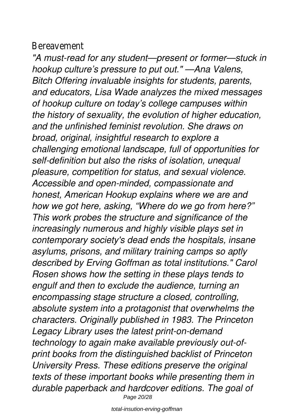## Bereavement

*"A must-read for any student—present or former—stuck in hookup culture's pressure to put out." —Ana Valens, Bitch Offering invaluable insights for students, parents, and educators, Lisa Wade analyzes the mixed messages of hookup culture on today's college campuses within the history of sexuality, the evolution of higher education, and the unfinished feminist revolution. She draws on broad, original, insightful research to explore a challenging emotional landscape, full of opportunities for self-definition but also the risks of isolation, unequal pleasure, competition for status, and sexual violence. Accessible and open-minded, compassionate and honest, American Hookup explains where we are and how we got here, asking, "Where do we go from here?" This work probes the structure and significance of the increasingly numerous and highly visible plays set in contemporary society's dead ends the hospitals, insane asylums, prisons, and military training camps so aptly described by Erving Goffman as total institutions." Carol Rosen shows how the setting in these plays tends to engulf and then to exclude the audience, turning an encompassing stage structure a closed, controlling, absolute system into a protagonist that overwhelms the characters. Originally published in 1983. The Princeton Legacy Library uses the latest print-on-demand technology to again make available previously out-ofprint books from the distinguished backlist of Princeton University Press. These editions preserve the original texts of these important books while presenting them in durable paperback and hardcover editions. The goal of* Page 20/28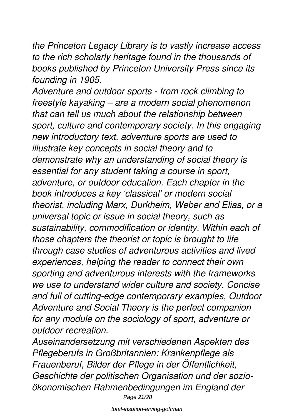*the Princeton Legacy Library is to vastly increase access to the rich scholarly heritage found in the thousands of books published by Princeton University Press since its founding in 1905.*

*Adventure and outdoor sports - from rock climbing to freestyle kayaking – are a modern social phenomenon that can tell us much about the relationship between sport, culture and contemporary society. In this engaging new introductory text, adventure sports are used to illustrate key concepts in social theory and to demonstrate why an understanding of social theory is essential for any student taking a course in sport, adventure, or outdoor education. Each chapter in the book introduces a key 'classical' or modern social theorist, including Marx, Durkheim, Weber and Elias, or a universal topic or issue in social theory, such as sustainability, commodification or identity. Within each of those chapters the theorist or topic is brought to life through case studies of adventurous activities and lived experiences, helping the reader to connect their own sporting and adventurous interests with the frameworks we use to understand wider culture and society. Concise and full of cutting-edge contemporary examples, Outdoor Adventure and Social Theory is the perfect companion for any module on the sociology of sport, adventure or outdoor recreation.*

*Auseinandersetzung mit verschiedenen Aspekten des Pflegeberufs in Großbritannien: Krankenpflege als Frauenberuf, Bilder der Pflege in der Öffentlichkeit, Geschichte der politischen Organisation und der sozioökonomischen Rahmenbedingungen im England der*

Page 21/28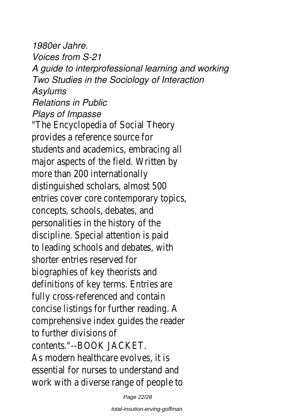*1980er Jahre. Voices from S-21 A guide to interprofessional learning and working Two Studies in the Sociology of Interaction Asylums Relations in Public Plays of Impasse* "The Encyclopedia of Social Theory provides a reference source for students and academics, embracing all major aspects of the field. Written by more than 200 internationally distinguished scholars, almost 500 entries cover core contemporary topics, concepts, schools, debates, and personalities in the history of the discipline. Special attention is paid to leading schools and debates, with shorter entries reserved for biographies of key theorists and definitions of key terms. Entries are fully cross-referenced and contain concise listings for further reading. A comprehensive index guides the reader to further divisions of contents."--BOOK JACKET. As modern healthcare evolves, it is essential for nurses to understand and work with a diverse range of people to

Page 22/28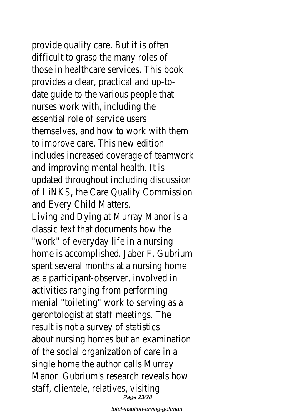provide quality care. But it is often difficult to grasp the many roles of those in healthcare services. This book provides a clear, practical and up-todate guide to the various people that nurses work with, including the essential role of service users themselves, and how to work with them to improve care. This new edition includes increased coverage of teamwork and improving mental health. It is updated throughout including discussion of LiNKS, the Care Quality Commission and Every Child Matters. Living and Dying at Murray Manor is a classic text that documents how the "work" of everyday life in a nursing home is accomplished. Jaber F. Gubrium spent several months at a nursing home as a participant-observer, involved in activities ranging from performing menial "toileting" work to serving as a gerontologist at staff meetings. The result is not a survey of statistics about nursing homes but an examination of the social organization of care in a single home the author calls Murray Manor. Gubrium's research reveals how staff, clientele, relatives, visiting Page 23/28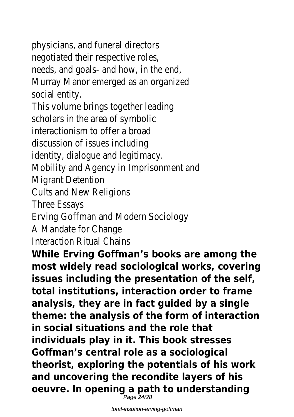physicians, and funeral directors negotiated their respective roles, needs, and goals- and how, in the end, Murray Manor emerged as an organized social entity. This volume brings together leading scholars in the area of symbolic interactionism to offer a broad discussion of issues including identity, dialogue and legitimacy. Mobility and Agency in Imprisonment and Migrant Detention Cults and New Religions Three Essays Erving Goffman and Modern Sociology A Mandate for Change Interaction Ritual Chains

**While Erving Goffman's books are among the most widely read sociological works, covering issues including the presentation of the self, total institutions, interaction order to frame analysis, they are in fact guided by a single theme: the analysis of the form of interaction in social situations and the role that individuals play in it. This book stresses Goffman's central role as a sociological theorist, exploring the potentials of his work and uncovering the recondite layers of his oeuvre. In opening a path to understanding**

Page 24/28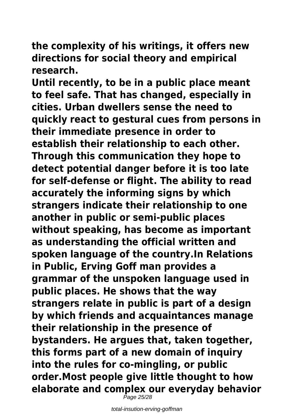**the complexity of his writings, it offers new directions for social theory and empirical research.**

**Until recently, to be in a public place meant to feel safe. That has changed, especially in cities. Urban dwellers sense the need to quickly react to gestural cues from persons in their immediate presence in order to establish their relationship to each other. Through this communication they hope to detect potential danger before it is too late for self-defense or flight. The ability to read accurately the informing signs by which strangers indicate their relationship to one another in public or semi-public places without speaking, has become as important as understanding the official written and spoken language of the country.In Relations in Public, Erving Goff man provides a grammar of the unspoken language used in public places. He shows that the way strangers relate in public is part of a design by which friends and acquaintances manage their relationship in the presence of bystanders. He argues that, taken together, this forms part of a new domain of inquiry into the rules for co-mingling, or public order.Most people give little thought to how elaborate and complex our everyday behavior**

Page 25/28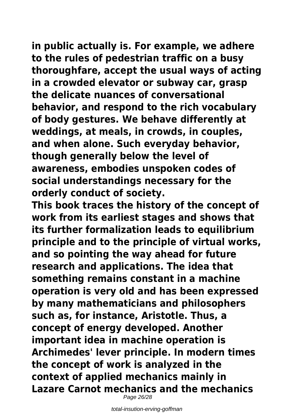**in public actually is. For example, we adhere to the rules of pedestrian traffic on a busy thoroughfare, accept the usual ways of acting in a crowded elevator or subway car, grasp the delicate nuances of conversational behavior, and respond to the rich vocabulary of body gestures. We behave differently at weddings, at meals, in crowds, in couples, and when alone. Such everyday behavior, though generally below the level of awareness, embodies unspoken codes of social understandings necessary for the orderly conduct of society.**

**This book traces the history of the concept of work from its earliest stages and shows that its further formalization leads to equilibrium principle and to the principle of virtual works, and so pointing the way ahead for future research and applications. The idea that something remains constant in a machine operation is very old and has been expressed by many mathematicians and philosophers such as, for instance, Aristotle. Thus, a concept of energy developed. Another important idea in machine operation is Archimedes' lever principle. In modern times the concept of work is analyzed in the context of applied mechanics mainly in Lazare Carnot mechanics and the mechanics**

Page 26/28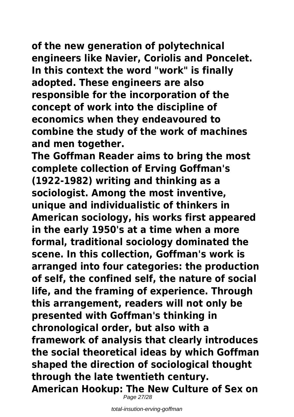**of the new generation of polytechnical engineers like Navier, Coriolis and Poncelet. In this context the word "work" is finally adopted. These engineers are also responsible for the incorporation of the concept of work into the discipline of economics when they endeavoured to combine the study of the work of machines and men together.**

**The Goffman Reader aims to bring the most complete collection of Erving Goffman's (1922-1982) writing and thinking as a sociologist. Among the most inventive, unique and individualistic of thinkers in American sociology, his works first appeared in the early 1950's at a time when a more formal, traditional sociology dominated the scene. In this collection, Goffman's work is arranged into four categories: the production of self, the confined self, the nature of social life, and the framing of experience. Through this arrangement, readers will not only be presented with Goffman's thinking in chronological order, but also with a framework of analysis that clearly introduces the social theoretical ideas by which Goffman shaped the direction of sociological thought through the late twentieth century. American Hookup: The New Culture of Sex on** Page 27/28